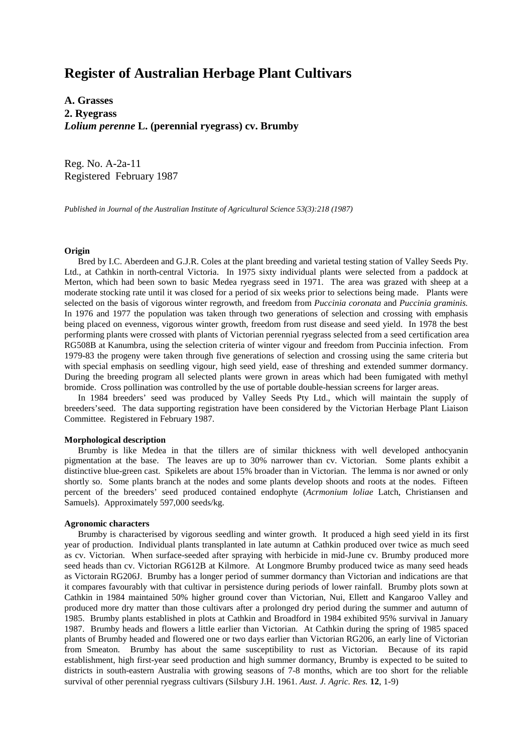# **Register of Australian Herbage Plant Cultivars**

**A. Grasses 2. Ryegrass** *Lolium perenne* **L. (perennial ryegrass) cv. Brumby**

Reg. No. A-2a-11 Registered February 1987

*Published in Journal of the Australian Institute of Agricultural Science 53(3):218 (1987)*

#### **Origin**

 Bred by I.C. Aberdeen and G.J.R. Coles at the plant breeding and varietal testing station of Valley Seeds Pty. Ltd., at Cathkin in north-central Victoria. In 1975 sixty individual plants were selected from a paddock at Merton, which had been sown to basic Medea ryegrass seed in 1971. The area was grazed with sheep at a moderate stocking rate until it was closed for a period of six weeks prior to selections being made. Plants were selected on the basis of vigorous winter regrowth, and freedom from *Puccinia coronata* and *Puccinia graminis.* In 1976 and 1977 the population was taken through two generations of selection and crossing with emphasis being placed on evenness, vigorous winter growth, freedom from rust disease and seed yield. In 1978 the best performing plants were crossed with plants of Victorian perennial ryegrass selected from a seed certification area RG508B at Kanumbra, using the selection criteria of winter vigour and freedom from Puccinia infection. From 1979-83 the progeny were taken through five generations of selection and crossing using the same criteria but with special emphasis on seedling vigour, high seed yield, ease of threshing and extended summer dormancy. During the breeding program all selected plants were grown in areas which had been fumigated with methyl bromide. Cross pollination was controlled by the use of portable double-hessian screens for larger areas.

 In 1984 breeders' seed was produced by Valley Seeds Pty Ltd., which will maintain the supply of breeders'seed. The data supporting registration have been considered by the Victorian Herbage Plant Liaison Committee. Registered in February 1987.

#### **Morphological description**

 Brumby is like Medea in that the tillers are of similar thickness with well developed anthocyanin pigmentation at the base. The leaves are up to 30% narrower than cv. Victorian. Some plants exhibit a distinctive blue-green cast. Spikelets are about 15% broader than in Victorian. The lemma is nor awned or only shortly so. Some plants branch at the nodes and some plants develop shoots and roots at the nodes. Fifteen percent of the breeders' seed produced contained endophyte (*Acrmonium loliae* Latch, Christiansen and Samuels). Approximately 597,000 seeds/kg.

## **Agronomic characters**

 Brumby is characterised by vigorous seedling and winter growth. It produced a high seed yield in its first year of production. Individual plants transplanted in late autumn at Cathkin produced over twice as much seed as cv. Victorian. When surface-seeded after spraying with herbicide in mid-June cv. Brumby produced more seed heads than cv. Victorian RG612B at Kilmore. At Longmore Brumby produced twice as many seed heads as Victorain RG206J. Brumby has a longer period of summer dormancy than Victorian and indications are that it compares favourably with that cultivar in persistence during periods of lower rainfall. Brumby plots sown at Cathkin in 1984 maintained 50% higher ground cover than Victorian, Nui, Ellett and Kangaroo Valley and produced more dry matter than those cultivars after a prolonged dry period during the summer and autumn of 1985. Brumby plants established in plots at Cathkin and Broadford in 1984 exhibited 95% survival in January 1987. Brumby heads and flowers a little earlier than Victorian. At Cathkin during the spring of 1985 spaced plants of Brumby headed and flowered one or two days earlier than Victorian RG206, an early line of Victorian from Smeaton. Brumby has about the same susceptibility to rust as Victorian. Because of its rapid establishment, high first-year seed production and high summer dormancy, Brumby is expected to be suited to districts in south-eastern Australia with growing seasons of 7-8 months, which are too short for the reliable survival of other perennial ryegrass cultivars (Silsbury J.H. 1961. *Aust. J. Agric. Res.* **12**, 1-9)